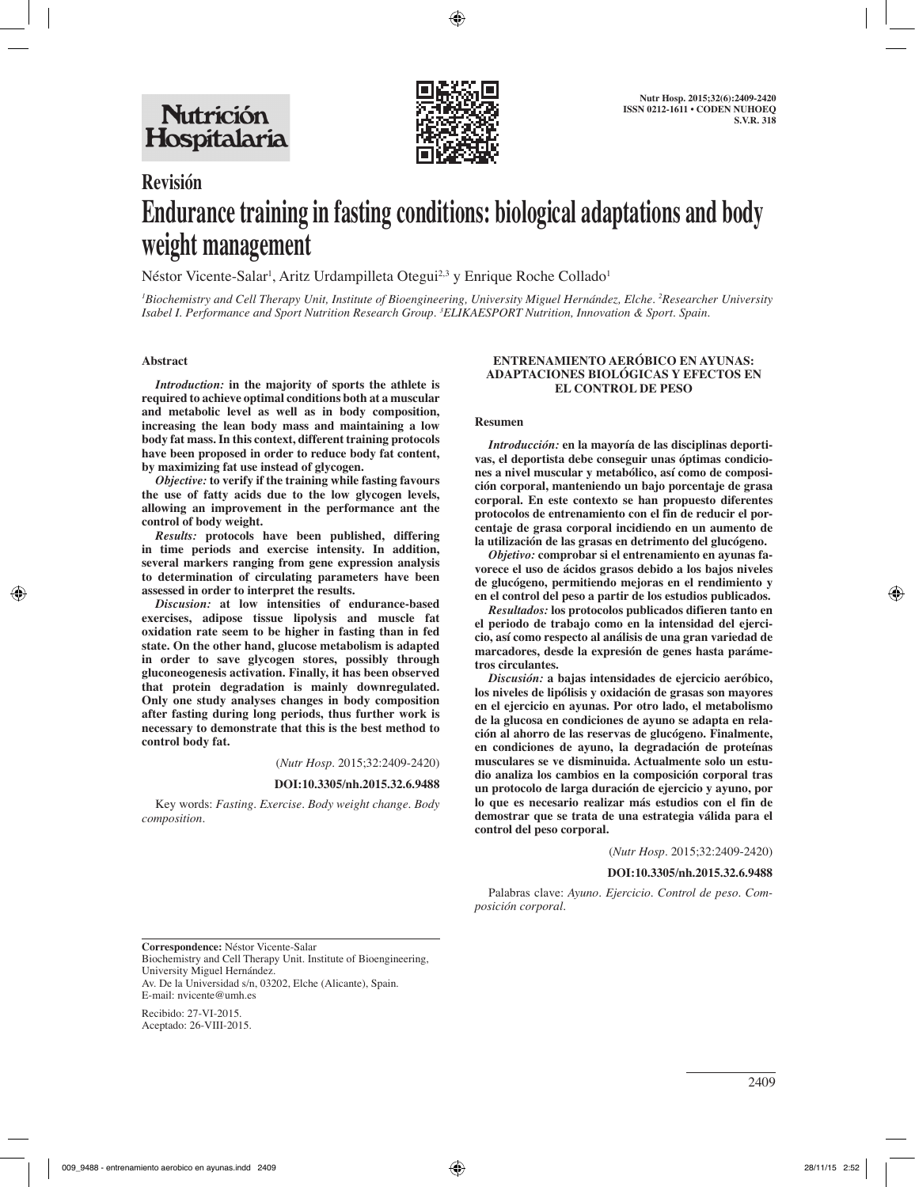

# **Revisión Endurance training in fasting conditions: biological adaptations and body weight management**

Néstor Vicente-Salar<sup>i</sup>, Aritz Urdampilleta Otegui<sup>2,3</sup> y Enrique Roche Collado<sup>1</sup>

*1 Biochemistry and Cell Therapy Unit, Institute of Bioengineering, University Miguel Hernández, Elche. 2 Researcher University Isabel I. Performance and Sport Nutrition Research Group. 3 ELIKAESPORT Nutrition, Innovation & Sport. Spain.*

## **Abstract**

*Introduction:* **in the majority of sports the athlete is required to achieve optimal conditions both at a muscular and metabolic level as well as in body composition, increasing the lean body mass and maintaining a low body fat mass. In this context, different training protocols have been proposed in order to reduce body fat content, by maximizing fat use instead of glycogen.** 

*Objective:* **to verify if the training while fasting favours the use of fatty acids due to the low glycogen levels, allowing an improvement in the performance ant the control of body weight.** 

*Results:* **protocols have been published, differing in time periods and exercise intensity. In addition, several markers ranging from gene expression analysis to determination of circulating parameters have been assessed in order to interpret the results.** 

*Discusion:* **at low intensities of endurance-based exercises, adipose tissue lipolysis and muscle fat oxidation rate seem to be higher in fasting than in fed state. On the other hand, glucose metabolism is adapted in order to save glycogen stores, possibly through gluconeogenesis activation. Finally, it has been observed that protein degradation is mainly downregulated. Only one study analyses changes in body composition after fasting during long periods, thus further work is necessary to demonstrate that this is the best method to control body fat.** 

(*Nutr Hosp.* 2015;32:2409-2420)

#### **DOI:10.3305/nh.2015.32.6.9488**

Key words: *Fasting. Exercise. Body weight change. Body composition.*

## **ENTRENAMIENTO AERÓBICO EN AYUNAS: ADAPTACIONES BIOLÓGICAS Y EFECTOS EN EL CONTROL DE PESO**

#### **Resumen**

*Introducción:* **en la mayoría de las disciplinas deportivas, el deportista debe conseguir unas óptimas condiciones a nivel muscular y metabólico, así como de composición corporal, manteniendo un bajo porcentaje de grasa corporal. En este contexto se han propuesto diferentes protocolos de entrenamiento con el fin de reducir el porcentaje de grasa corporal incidiendo en un aumento de la utilización de las grasas en detrimento del glucógeno.** 

*Objetivo:* **comprobar si el entrenamiento en ayunas favorece el uso de ácidos grasos debido a los bajos niveles de glucógeno, permitiendo mejoras en el rendimiento y en el control del peso a partir de los estudios publicados.** 

*Resultados:* **los protocolos publicados difieren tanto en el periodo de trabajo como en la intensidad del ejercicio, así como respecto al análisis de una gran variedad de marcadores, desde la expresión de genes hasta parámetros circulantes.** 

*Discusión:* **a bajas intensidades de ejercicio aeróbico, los niveles de lipólisis y oxidación de grasas son mayores en el ejercicio en ayunas. Por otro lado, el metabolismo de la glucosa en condiciones de ayuno se adapta en relación al ahorro de las reservas de glucógeno. Finalmente, en condiciones de ayuno, la degradación de proteínas musculares se ve disminuida. Actualmente solo un estudio analiza los cambios en la composición corporal tras un protocolo de larga duración de ejercicio y ayuno, por lo que es necesario realizar más estudios con el fin de demostrar que se trata de una estrategia válida para el control del peso corporal.**

(*Nutr Hosp.* 2015;32:2409-2420)

#### **DOI:10.3305/nh.2015.32.6.9488**

Palabras clave: *Ayuno. Ejercicio. Control de peso. Composición corporal.*

**Correspondence:** Néstor Vicente-Salar Biochemistry and Cell Therapy Unit. Institute of Bioengineering, University Miguel Hernández.

Av. De la Universidad s/n, 03202, Elche (Alicante), Spain. E-mail: nvicente@umh.es

Recibido: 27-VI-2015. Aceptado: 26-VIII-2015.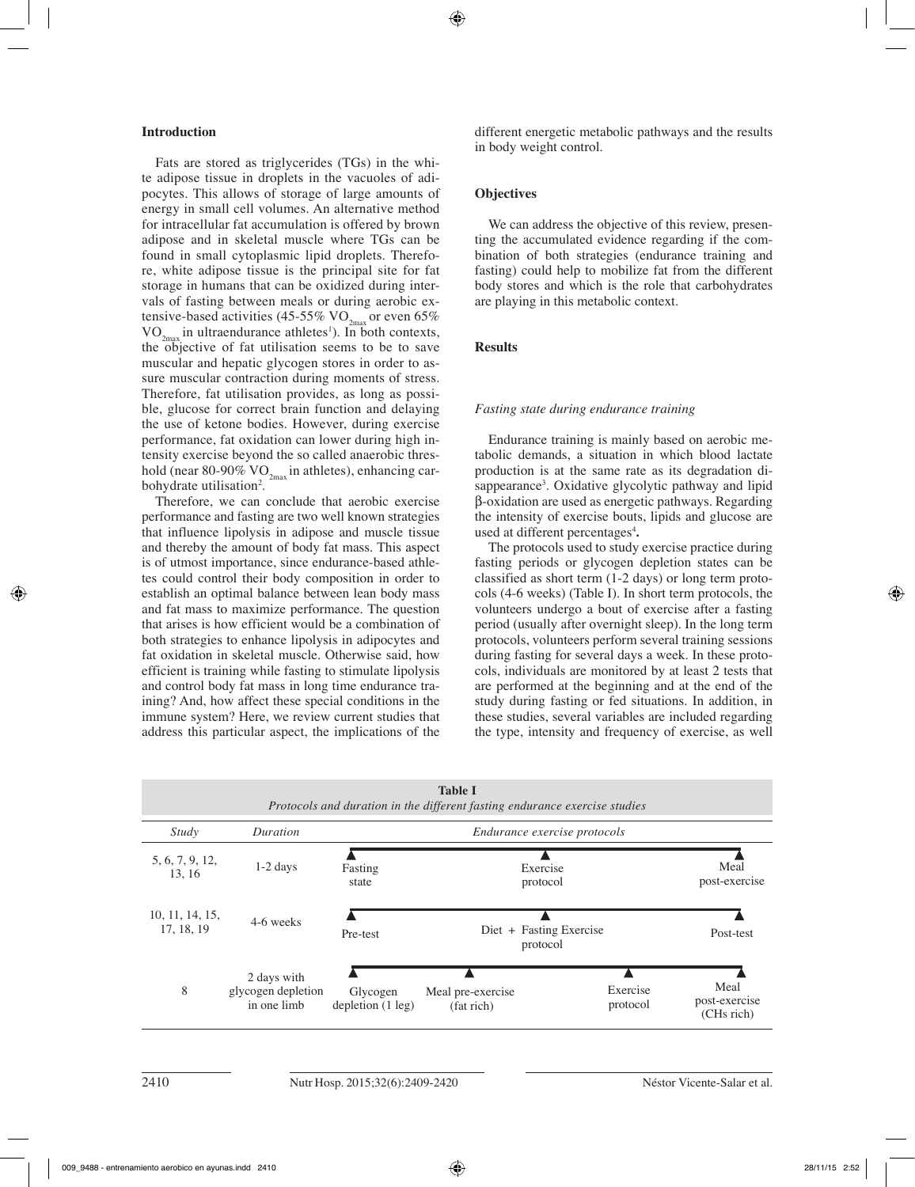# **Introduction**

Fats are stored as triglycerides (TGs) in the white adipose tissue in droplets in the vacuoles of adipocytes. This allows of storage of large amounts of energy in small cell volumes. An alternative method for intracellular fat accumulation is offered by brown adipose and in skeletal muscle where TGs can be found in small cytoplasmic lipid droplets. Therefore, white adipose tissue is the principal site for fat storage in humans that can be oxidized during intervals of fasting between meals or during aerobic extensive-based activities (45-55%  $\rm VO_{2max}$  or even 65%  $VO_{2max}$  in ultraendurance athletes<sup>1</sup>). In both contexts, the objective of fat utilisation seems to be to save muscular and hepatic glycogen stores in order to assure muscular contraction during moments of stress. Therefore, fat utilisation provides, as long as possible, glucose for correct brain function and delaying the use of ketone bodies. However, during exercise performance, fat oxidation can lower during high intensity exercise beyond the so called anaerobic threshold (near 80-90%  $VO_{2m}$  in athletes), enhancing carbohydrate utilisation<sup>2</sup>.

Therefore, we can conclude that aerobic exercise performance and fasting are two well known strategies that influence lipolysis in adipose and muscle tissue and thereby the amount of body fat mass. This aspect is of utmost importance, since endurance-based athletes could control their body composition in order to establish an optimal balance between lean body mass and fat mass to maximize performance. The question that arises is how efficient would be a combination of both strategies to enhance lipolysis in adipocytes and fat oxidation in skeletal muscle. Otherwise said, how efficient is training while fasting to stimulate lipolysis and control body fat mass in long time endurance training? And, how affect these special conditions in the immune system? Here, we review current studies that address this particular aspect, the implications of the different energetic metabolic pathways and the results in body weight control.

## **Objectives**

We can address the objective of this review, presenting the accumulated evidence regarding if the combination of both strategies (endurance training and fasting) could help to mobilize fat from the different body stores and which is the role that carbohydrates are playing in this metabolic context.

# **Results**

#### *Fasting state during endurance training*

Endurance training is mainly based on aerobic metabolic demands, a situation in which blood lactate production is at the same rate as its degradation disappearance<sup>3</sup>. Oxidative glycolytic pathway and lipid β-oxidation are used as energetic pathways. Regarding the intensity of exercise bouts, lipids and glucose are used at different percentages4 **.** 

The protocols used to study exercise practice during fasting periods or glycogen depletion states can be classified as short term (1-2 days) or long term protocols (4-6 weeks) (Table I). In short term protocols, the volunteers undergo a bout of exercise after a fasting period (usually after overnight sleep). In the long term protocols, volunteers perform several training sessions during fasting for several days a week. In these protocols, individuals are monitored by at least 2 tests that are performed at the beginning and at the end of the study during fasting or fed situations. In addition, in these studies, several variables are included regarding the type, intensity and frequency of exercise, as well

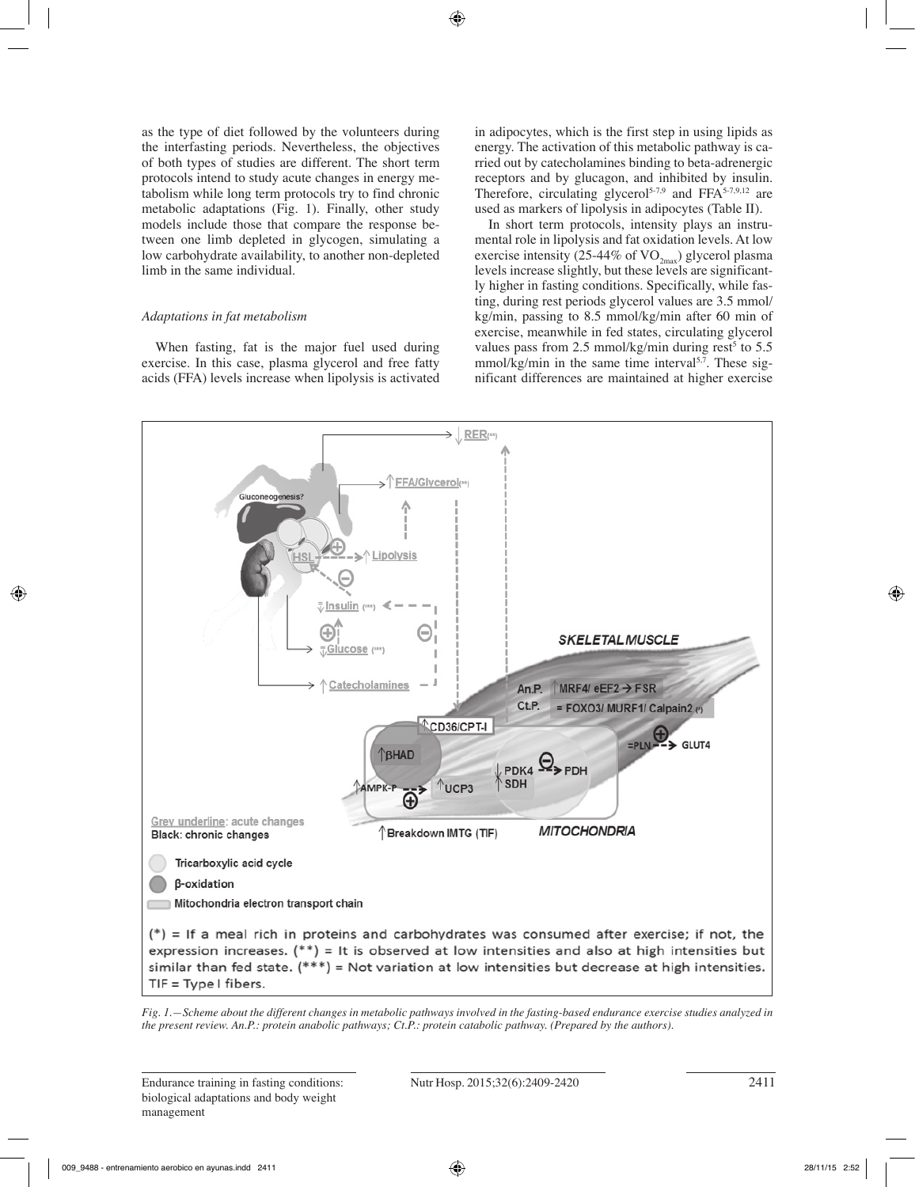as the type of diet followed by the volunteers during the interfasting periods. Nevertheless, the objectives of both types of studies are different. The short term protocols intend to study acute changes in energy metabolism while long term protocols try to find chronic metabolic adaptations (Fig. 1). Finally, other study models include those that compare the response between one limb depleted in glycogen, simulating a low carbohydrate availability, to another non-depleted limb in the same individual.

# *Adaptations in fat metabolism*

When fasting, fat is the major fuel used during exercise. In this case, plasma glycerol and free fatty acids (FFA) levels increase when lipolysis is activated in adipocytes, which is the first step in using lipids as energy. The activation of this metabolic pathway is carried out by catecholamines binding to beta-adrenergic receptors and by glucagon, and inhibited by insulin. Therefore, circulating glycerol<sup>5-7,9</sup> and FFA $^{5-7,9,12}$  are used as markers of lipolysis in adipocytes (Table II).

In short term protocols, intensity plays an instrumental role in lipolysis and fat oxidation levels. At low exercise intensity (25-44% of  $VO_{2max}$ ) glycerol plasma levels increase slightly, but these levels are significantly higher in fasting conditions. Specifically, while fasting, during rest periods glycerol values are 3.5 mmol/ kg/min, passing to 8.5 mmol/kg/min after 60 min of exercise, meanwhile in fed states, circulating glycerol values pass from 2.5 mmol/kg/min during rest<sup>5</sup> to  $5.5$  $mmol/kg/min$  in the same time interval<sup>5,7</sup>. These significant differences are maintained at higher exercise



*Fig. 1.—Scheme about the different changes in metabolic pathways involved in the fasting-based endurance exercise studies analyzed in the present review. An.P.: protein anabolic pathways; Ct.P.: protein catabolic pathway. (Prepared by the authors).*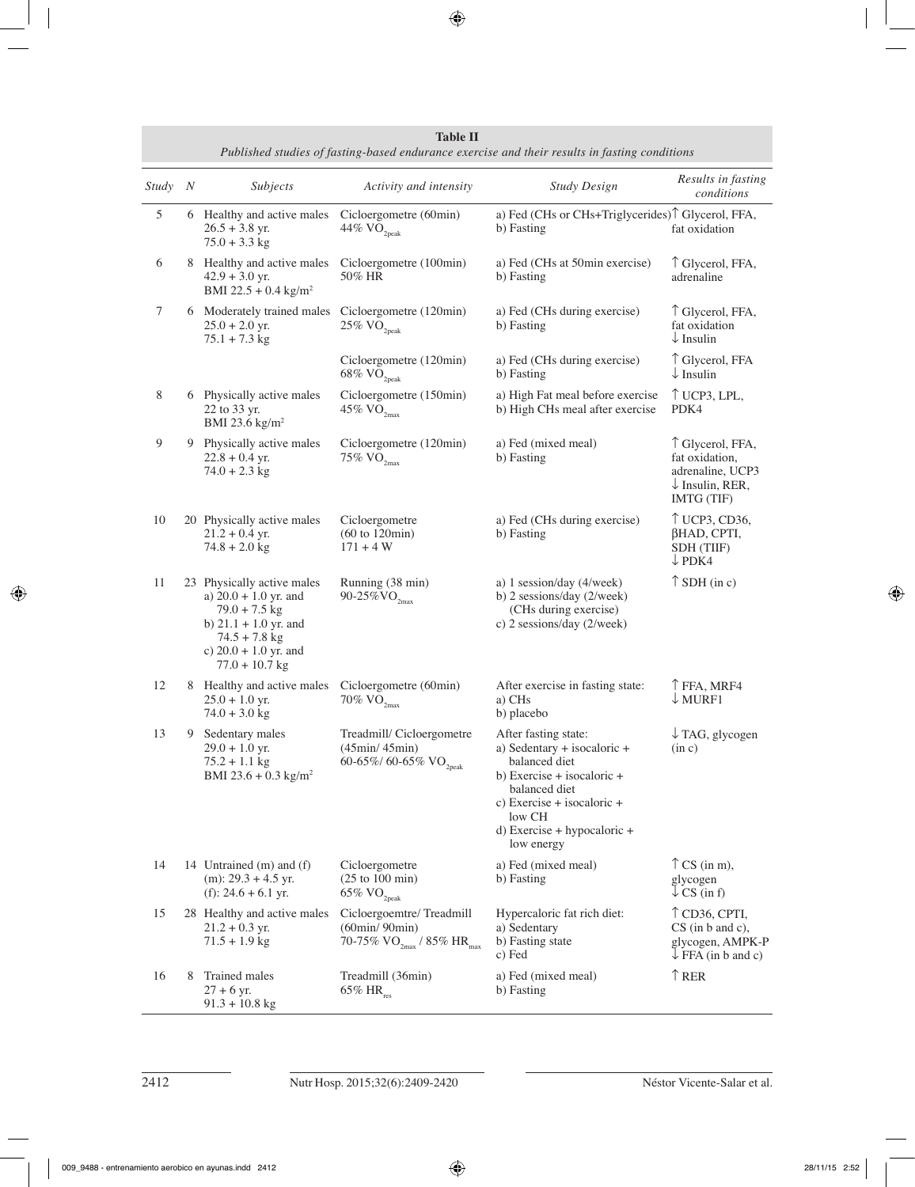| Study | $\boldsymbol{N}$ | Subjects                                                                                                                                                              | Activity and intensity                                                                                         | <b>Study Design</b>                                                                                                                                                                                            | Results in fasting<br>conditions                                                                   |
|-------|------------------|-----------------------------------------------------------------------------------------------------------------------------------------------------------------------|----------------------------------------------------------------------------------------------------------------|----------------------------------------------------------------------------------------------------------------------------------------------------------------------------------------------------------------|----------------------------------------------------------------------------------------------------|
| 5     |                  | 6 Healthy and active males<br>$26.5 + 3.8$ yr.<br>$75.0 + 3.3$ kg                                                                                                     | Cicloergometre (60min)<br>$44\%$ $\rm VO_{2peak}$                                                              | a) Fed (CHs or CHs+Triglycerides) <sup>↑</sup> Glycerol, FFA,<br>b) Fasting                                                                                                                                    | fat oxidation                                                                                      |
| 6     |                  | 8 Healthy and active males<br>$42.9 + 3.0$ yr.<br>BMI 22.5 + 0.4 kg/m <sup>2</sup>                                                                                    | Cicloergometre (100min)<br>50% HR                                                                              | a) Fed (CHs at 50min exercise)<br>b) Fasting                                                                                                                                                                   | ↑ Glycerol, FFA,<br>adrenaline                                                                     |
| 7     |                  | 6 Moderately trained males<br>$25.0 + 2.0$ yr.<br>$75.1 + 7.3$ kg                                                                                                     | Cicloergometre (120min)<br>$25\%$ VO <sub>2peak</sub>                                                          | a) Fed (CHs during exercise)<br>b) Fasting                                                                                                                                                                     | ↑ Glycerol, FFA,<br>fat oxidation<br>$\downarrow$ Insulin                                          |
|       |                  |                                                                                                                                                                       | Cicloergometre (120min)<br>$68\%$ $\rm VO_{2peak}$                                                             | a) Fed (CHs during exercise)<br>b) Fasting                                                                                                                                                                     | ↑ Glycerol, FFA<br>$\downarrow$ Insulin                                                            |
| 8     |                  | 6 Physically active males<br>22 to 33 yr.<br>BMI 23.6 $\text{kg/m}^2$                                                                                                 | Cicloergometre (150min)<br>45% $VO2max$                                                                        | a) High Fat meal before exercise<br>b) High CHs meal after exercise                                                                                                                                            | $\uparrow$ UCP3, LPL,<br>PDK4                                                                      |
| 9     |                  | 9 Physically active males<br>$22.8 + 0.4$ yr.<br>$74.0 + 2.3$ kg                                                                                                      | Cicloergometre (120min)<br>75% $\rm VO_{2max}$                                                                 | a) Fed (mixed meal)<br>b) Fasting                                                                                                                                                                              | ↑ Glycerol, FFA,<br>fat oxidation,<br>adrenaline, UCP3<br>$\downarrow$ Insulin, RER,<br>IMTG (TIF) |
| 10    |                  | 20 Physically active males<br>$21.2 + 0.4$ yr.<br>$74.8 + 2.0$ kg                                                                                                     | Cicloergometre<br>$(60 \text{ to } 120 \text{min})$<br>$171 + 4 W$                                             | a) Fed (CHs during exercise)<br>b) Fasting                                                                                                                                                                     | ↑ UCP3, CD36,<br>βHAD, CPTI,<br>SDH (TIIF)<br>$\downarrow$ PDK4                                    |
| 11    |                  | 23 Physically active males<br>a) $20.0 + 1.0$ yr. and<br>$79.0 + 7.5$ kg<br>b) $21.1 + 1.0$ yr. and<br>$74.5 + 7.8$ kg<br>c) $20.0 + 1.0$ yr. and<br>$77.0 + 10.7$ kg | Running (38 min)<br>90-25% $VO_{2max}$                                                                         | a) 1 session/day (4/week)<br>b) 2 sessions/day (2/week)<br>(CHs during exercise)<br>c) 2 sessions/day (2/week)                                                                                                 | $\uparrow$ SDH (in c)                                                                              |
| 12    | 8                | Healthy and active males<br>$25.0 + 1.0$ yr.<br>$74.0 + 3.0$ kg                                                                                                       | Cicloergometre (60min)<br>70% $\rm VO_{2max}$                                                                  | After exercise in fasting state:<br>a) CHs<br>b) placebo                                                                                                                                                       | T FFA, MRF4<br>$\downarrow$ MURF1                                                                  |
| 13    | 9                | Sedentary males<br>$29.0 + 1.0$ yr.<br>$75.2 + 1.1$ kg<br>BMI 23.6 + 0.3 $\text{kg/m}^2$                                                                              | Treadmill/Cicloergometre<br>(45min/45min)<br>60-65%/ 60-65% $\rm VO_{2peak}$                                   | After fasting state:<br>a) Sedentary + isocaloric +<br>balanced diet<br>b) Exercise $+$ isocaloric $+$<br>balanced diet<br>c) Exercise + isocaloric +<br>low CH<br>$d)$ Exercise + hypocaloric +<br>low energy | $\downarrow$ TAG, glycogen<br>(in c)                                                               |
| 14    |                  | 14 Untrained (m) and (f)<br>$(m)$ : 29.3 + 4.5 yr.<br>(f): $24.6 + 6.1$ yr.                                                                                           | Cicloergometre<br>$(25 \text{ to } 100 \text{ min})$<br>$65\%$ VO <sub>2peak</sub>                             | a) Fed (mixed meal)<br>b) Fasting                                                                                                                                                                              | $\uparrow$ CS (in m),<br>glycogen<br>$\downarrow$ CS (in f)                                        |
| 15    |                  | 28 Healthy and active males<br>$21.2 + 0.3$ yr.<br>$71.5 + 1.9$ kg                                                                                                    | Cicloergoemtre/Treadmill<br>$(60\text{min}/90\text{min})$<br>70-75% VO <sub>2max</sub> / 85% HR <sub>max</sub> | Hypercaloric fat rich diet:<br>a) Sedentary<br>b) Fasting state<br>c) Fed                                                                                                                                      | $\uparrow$ CD36, CPTI,<br>$CS$ (in b and c),<br>glycogen, AMPK-P<br>$\downarrow$ FFA (in b and c)  |
| 16    | 8                | Trained males<br>$27 + 6$ yr.<br>$91.3 + 10.8$ kg                                                                                                                     | Treadmill (36min)<br>$65\%$ HR <sub>res</sub>                                                                  | a) Fed (mixed meal)<br>b) Fasting                                                                                                                                                                              | $\uparrow$ RER                                                                                     |

**Table II**  *Published studies of fasting-based endurance exercise and their results in fasting conditions*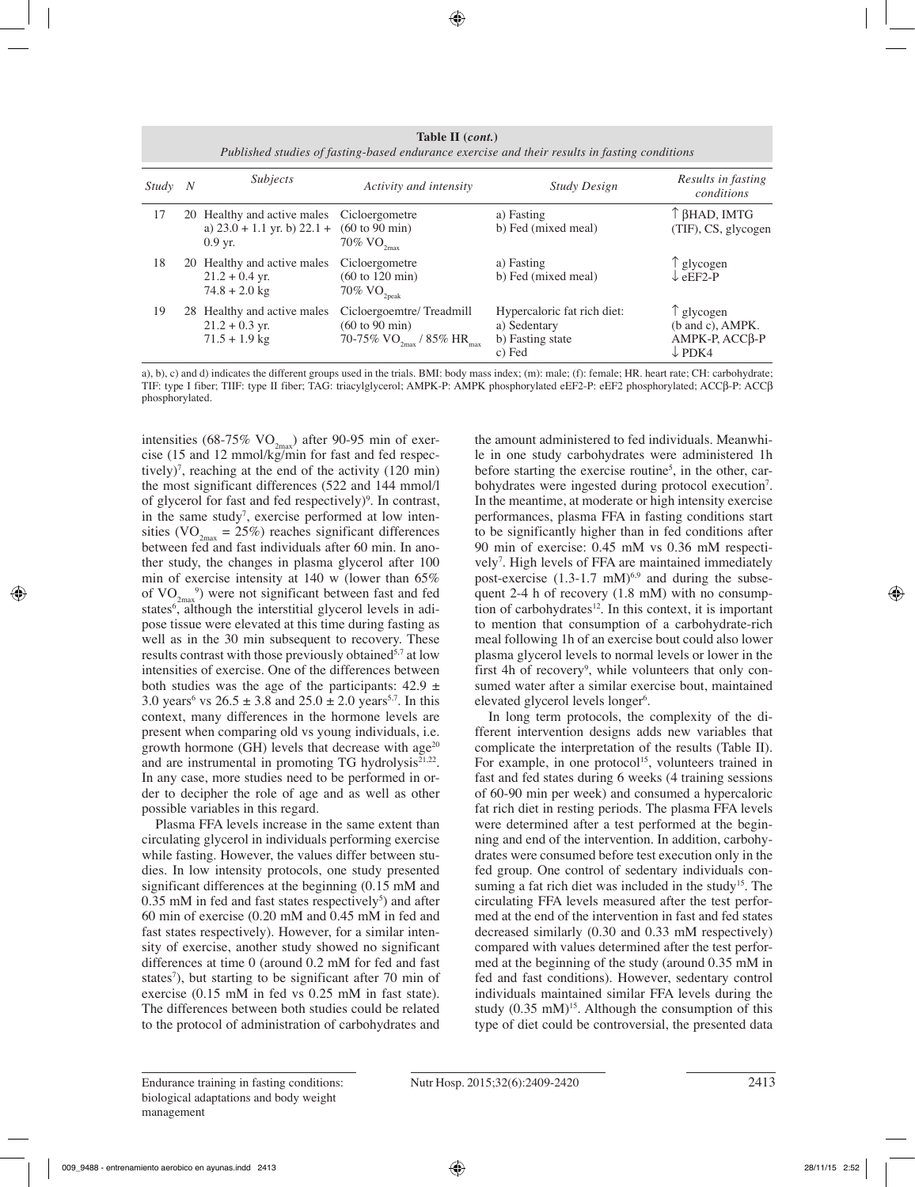**Table II (***cont.***)** *Published studies of fasting-based endurance exercise and their results in fasting conditions*

| Study | N | <i>Subjects</i>                                                                            | Activity and intensity                                                                                             | <b>Study Design</b>                                                       | Results in fasting<br>conditions                                               |
|-------|---|--------------------------------------------------------------------------------------------|--------------------------------------------------------------------------------------------------------------------|---------------------------------------------------------------------------|--------------------------------------------------------------------------------|
| 17    |   | 20 Healthy and active males Cicloergometre<br>a) $23.0 + 1.1$ yr. b) $22.1 +$<br>$0.9$ yr. | $(60 \text{ to } 90 \text{ min})$<br>70% $\rm VO_{2max}$                                                           | a) Fasting<br>b) Fed (mixed meal)                                         | ↑ βHAD, IMTG<br>(TIF), CS, glycogen                                            |
| 18    |   | 20 Healthy and active males<br>$21.2 + 0.4$ yr.<br>$74.8 + 2.0$ kg                         | Cicloergometre<br>$(60 \text{ to } 120 \text{ min})$<br>70% $\rm VO_{2peak}$                                       | a) Fasting<br>b) Fed (mixed meal)                                         | glycogen<br>$\downarrow$ eEF2-P                                                |
| 19    |   | 28 Healthy and active males<br>$21.2 + 0.3$ yr.<br>$71.5 + 1.9$ kg                         | Cicloergoemtre/Treadmill<br>$(60 \text{ to } 90 \text{ min})$<br>70-75% VO <sub>2max</sub> / 85% HR <sub>max</sub> | Hypercaloric fat rich diet:<br>a) Sedentary<br>b) Fasting state<br>c) Fed | $\uparrow$ glycogen<br>(b and c), AMPK.<br>АМРК-Р, АССВ-Р<br>$\downarrow$ PDK4 |

a), b), c) and d) indicates the different groups used in the trials. BMI: body mass index; (m): male; (f): female; HR. heart rate; CH: carbohydrate; TIF: type I fiber; TIIF: type II fiber; TAG: triacylglycerol; AMPK-P: AMPK phosphorylated eEF2-P: eEF2 phosphorylated; ACCβ-P: ACCβ phosphorylated.

intensities (68-75% VO<sub>2max</sub>) after 90-95 min of exercise (15 and 12 mmol/kg/min for fast and fed respectively)7 , reaching at the end of the activity (120 min) the most significant differences (522 and 144 mmol/l of glycerol for fast and fed respectively)<sup>9</sup>. In contrast, in the same study<sup>7</sup>, exercise performed at low intensities (VO<sub>2max</sub> = 25%) reaches significant differences between fed and fast individuals after 60 min. In another study, the changes in plasma glycerol after 100 min of exercise intensity at 140 w (lower than 65% of  $VO_{2\text{max}}^{9}$ ) were not significant between fast and fed states<sup>6</sup>, although the interstitial glycerol levels in adipose tissue were elevated at this time during fasting as well as in the 30 min subsequent to recovery. These results contrast with those previously obtained<sup>5,7</sup> at low intensities of exercise. One of the differences between both studies was the age of the participants:  $42.9 \pm$ 3.0 years<sup>6</sup> vs  $26.5 \pm 3.8$  and  $25.0 \pm 2.0$  years<sup>5,7</sup>. In this context, many differences in the hormone levels are present when comparing old vs young individuals, i.e. growth hormone (GH) levels that decrease with age $^{20}$ and are instrumental in promoting TG hydrolysis<sup>21,22</sup>. In any case, more studies need to be performed in order to decipher the role of age and as well as other possible variables in this regard.

Plasma FFA levels increase in the same extent than circulating glycerol in individuals performing exercise while fasting. However, the values differ between studies. In low intensity protocols, one study presented significant differences at the beginning (0.15 mM and  $0.35$  mM in fed and fast states respectively<sup>5</sup>) and after 60 min of exercise (0.20 mM and 0.45 mM in fed and fast states respectively). However, for a similar intensity of exercise, another study showed no significant differences at time 0 (around 0.2 mM for fed and fast states<sup>7</sup>), but starting to be significant after 70 min of exercise (0.15 mM in fed vs 0.25 mM in fast state). The differences between both studies could be related to the protocol of administration of carbohydrates and

the amount administered to fed individuals. Meanwhile in one study carbohydrates were administered 1h before starting the exercise routine<sup>5</sup>, in the other, carbohydrates were ingested during protocol execution<sup>7</sup>. In the meantime, at moderate or high intensity exercise performances, plasma FFA in fasting conditions start to be significantly higher than in fed conditions after 90 min of exercise: 0.45 mM vs 0.36 mM respectively<sup>7</sup>. High levels of FFA are maintained immediately post-exercise  $(1.3-1.7 \text{ mM})^{6,9}$  and during the subsequent 2-4 h of recovery (1.8 mM) with no consumption of carbohydrates $12$ . In this context, it is important to mention that consumption of a carbohydrate-rich meal following 1h of an exercise bout could also lower plasma glycerol levels to normal levels or lower in the first 4h of recovery<sup>9</sup>, while volunteers that only consumed water after a similar exercise bout, maintained elevated glycerol levels longer<sup>6</sup>.

In long term protocols, the complexity of the different intervention designs adds new variables that complicate the interpretation of the results (Table II). For example, in one protocol<sup>15</sup>, volunteers trained in fast and fed states during 6 weeks (4 training sessions of 60-90 min per week) and consumed a hypercaloric fat rich diet in resting periods. The plasma FFA levels were determined after a test performed at the beginning and end of the intervention. In addition, carbohydrates were consumed before test execution only in the fed group. One control of sedentary individuals consuming a fat rich diet was included in the study<sup>15</sup>. The circulating FFA levels measured after the test performed at the end of the intervention in fast and fed states decreased similarly (0.30 and 0.33 mM respectively) compared with values determined after the test performed at the beginning of the study (around 0.35 mM in fed and fast conditions). However, sedentary control individuals maintained similar FFA levels during the study  $(0.35 \text{ mM})^{15}$ . Although the consumption of this type of diet could be controversial, the presented data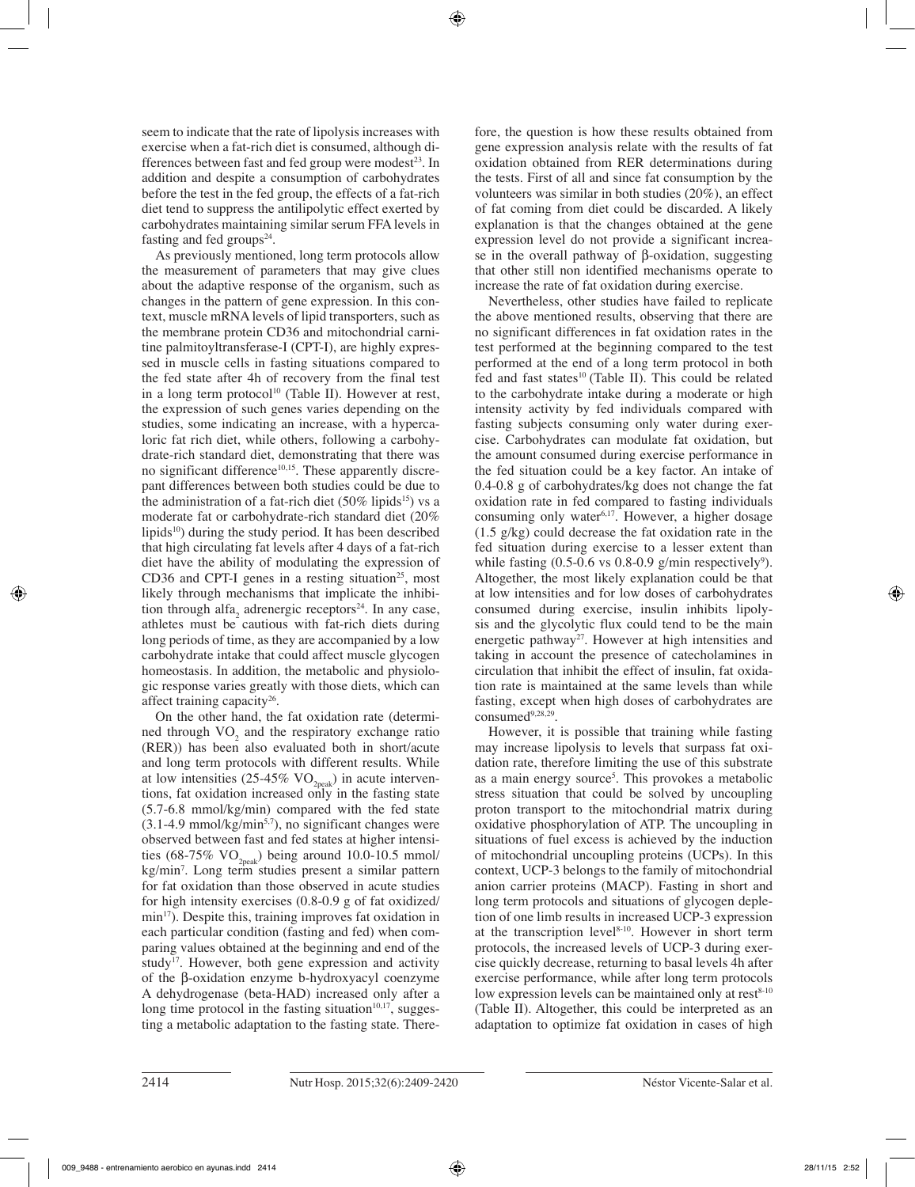seem to indicate that the rate of lipolysis increases with exercise when a fat-rich diet is consumed, although differences between fast and fed group were modest<sup>23</sup>. In addition and despite a consumption of carbohydrates before the test in the fed group, the effects of a fat-rich diet tend to suppress the antilipolytic effect exerted by carbohydrates maintaining similar serum FFA levels in fasting and fed groups $24$ .

As previously mentioned, long term protocols allow the measurement of parameters that may give clues about the adaptive response of the organism, such as changes in the pattern of gene expression. In this context, muscle mRNA levels of lipid transporters, such as the membrane protein CD36 and mitochondrial carnitine palmitoyltransferase-I (CPT-I), are highly expressed in muscle cells in fasting situations compared to the fed state after 4h of recovery from the final test in a long term protocol<sup>10</sup> (Table II). However at rest, the expression of such genes varies depending on the studies, some indicating an increase, with a hypercaloric fat rich diet, while others, following a carbohydrate-rich standard diet, demonstrating that there was no significant difference $10,15$ . These apparently discrepant differences between both studies could be due to the administration of a fat-rich diet  $(50\% \text{ lipids}^{15})$  vs a moderate fat or carbohydrate-rich standard diet (20% lipids<sup>10</sup>) during the study period. It has been described that high circulating fat levels after 4 days of a fat-rich diet have the ability of modulating the expression of CD36 and CPT-I genes in a resting situation<sup>25</sup>, most likely through mechanisms that implicate the inhibition through alfa<sub>2</sub> adrenergic receptors<sup>24</sup>. In any case, athletes must be cautious with fat-rich diets during long periods of time, as they are accompanied by a low carbohydrate intake that could affect muscle glycogen homeostasis. In addition, the metabolic and physiologic response varies greatly with those diets, which can affect training capacity<sup>26</sup>.

On the other hand, the fat oxidation rate (determi- $\text{med through VO}_2$  and the respiratory exchange ratio (RER)) has been also evaluated both in short/acute and long term protocols with different results. While at low intensities (25-45%  $VO<sub>2peak</sub>$ ) in acute interventions, fat oxidation increased only in the fasting state (5.7-6.8 mmol/kg/min) compared with the fed state  $(3.1-4.9 \text{ mmol/kg/min}^{5.7})$ , no significant changes were observed between fast and fed states at higher intensities (68-75%  $VO_{2\text{peak}}$ ) being around 10.0-10.5 mmol/ kg/min7 . Long term studies present a similar pattern for fat oxidation than those observed in acute studies for high intensity exercises (0.8-0.9 g of fat oxidized/ min<sup>17</sup>). Despite this, training improves fat oxidation in each particular condition (fasting and fed) when comparing values obtained at the beginning and end of the study<sup>17</sup>. However, both gene expression and activity of the β-oxidation enzyme b-hydroxyacyl coenzyme A dehydrogenase (beta-HAD) increased only after a long time protocol in the fasting situation $10,17$ , suggesting a metabolic adaptation to the fasting state. Therefore, the question is how these results obtained from gene expression analysis relate with the results of fat oxidation obtained from RER determinations during the tests. First of all and since fat consumption by the volunteers was similar in both studies (20%), an effect of fat coming from diet could be discarded. A likely explanation is that the changes obtained at the gene expression level do not provide a significant increase in the overall pathway of β-oxidation, suggesting that other still non identified mechanisms operate to increase the rate of fat oxidation during exercise.

Nevertheless, other studies have failed to replicate the above mentioned results, observing that there are no significant differences in fat oxidation rates in the test performed at the beginning compared to the test performed at the end of a long term protocol in both fed and fast states<sup>10</sup> (Table II). This could be related to the carbohydrate intake during a moderate or high intensity activity by fed individuals compared with fasting subjects consuming only water during exercise. Carbohydrates can modulate fat oxidation, but the amount consumed during exercise performance in the fed situation could be a key factor. An intake of 0.4-0.8 g of carbohydrates/kg does not change the fat oxidation rate in fed compared to fasting individuals consuming only water<sup>6,17</sup>. However, a higher dosage (1.5 g/kg) could decrease the fat oxidation rate in the fed situation during exercise to a lesser extent than while fasting  $(0.5{\text -}0.6 \text{ vs } 0.8{\text -}0.9 \text{ g/min respectively}^9)$ . Altogether, the most likely explanation could be that at low intensities and for low doses of carbohydrates consumed during exercise, insulin inhibits lipolysis and the glycolytic flux could tend to be the main energetic pathway<sup>27</sup>. However at high intensities and taking in account the presence of catecholamines in circulation that inhibit the effect of insulin, fat oxidation rate is maintained at the same levels than while fasting, except when high doses of carbohydrates are  $consumed<sup>9,28,29</sup>$ .

However, it is possible that training while fasting may increase lipolysis to levels that surpass fat oxidation rate, therefore limiting the use of this substrate as a main energy source<sup>5</sup>. This provokes a metabolic stress situation that could be solved by uncoupling proton transport to the mitochondrial matrix during oxidative phosphorylation of ATP. The uncoupling in situations of fuel excess is achieved by the induction of mitochondrial uncoupling proteins (UCPs). In this context, UCP-3 belongs to the family of mitochondrial anion carrier proteins (MACP). Fasting in short and long term protocols and situations of glycogen depletion of one limb results in increased UCP-3 expression at the transcription level $8-10$ . However in short term protocols, the increased levels of UCP-3 during exercise quickly decrease, returning to basal levels 4h after exercise performance, while after long term protocols low expression levels can be maintained only at rest $8-10$ (Table II). Altogether, this could be interpreted as an adaptation to optimize fat oxidation in cases of high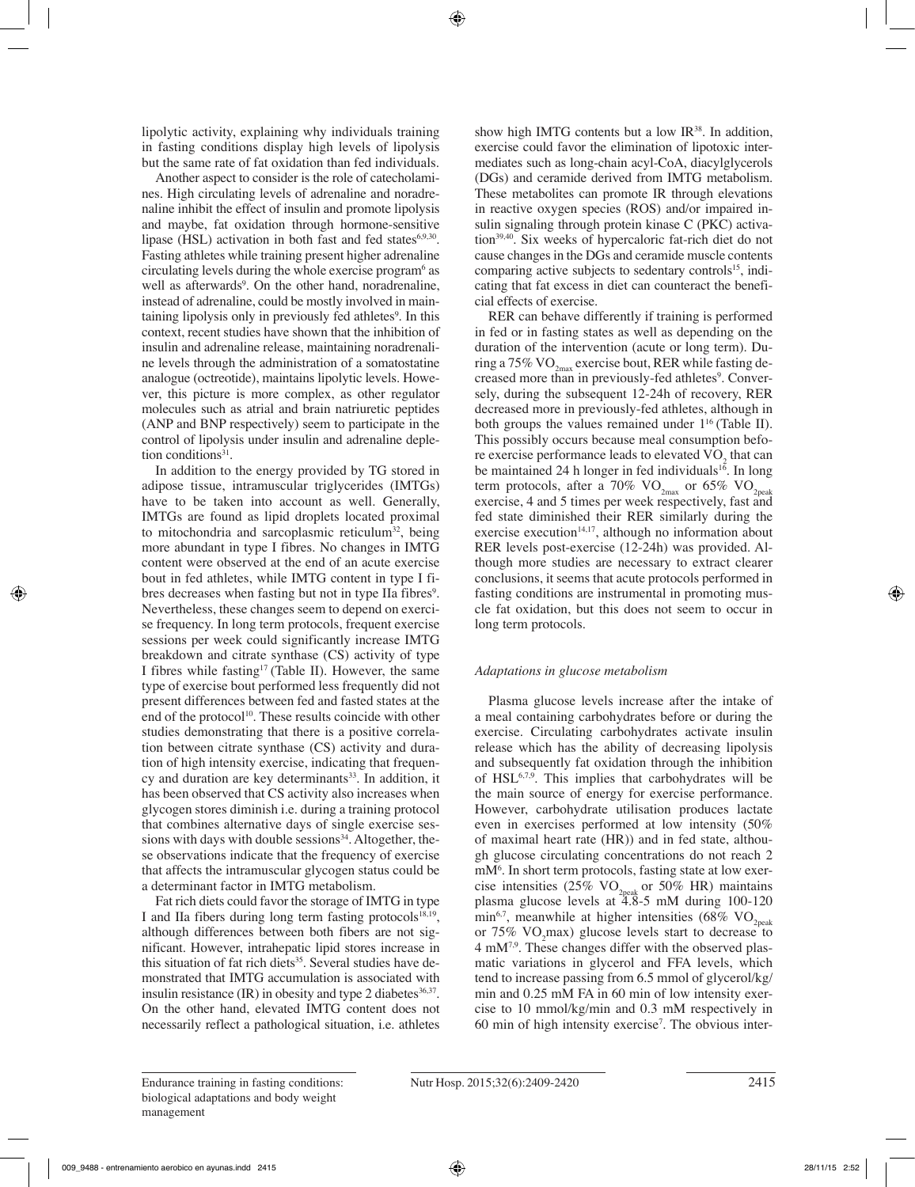lipolytic activity, explaining why individuals training in fasting conditions display high levels of lipolysis but the same rate of fat oxidation than fed individuals.

Another aspect to consider is the role of catecholamines. High circulating levels of adrenaline and noradrenaline inhibit the effect of insulin and promote lipolysis and maybe, fat oxidation through hormone-sensitive lipase (HSL) activation in both fast and fed states $6,9,30$ . Fasting athletes while training present higher adrenaline circulating levels during the whole exercise program<sup>6</sup> as well as afterwards<sup>9</sup>. On the other hand, noradrenaline, instead of adrenaline, could be mostly involved in maintaining lipolysis only in previously fed athletes<sup>9</sup>. In this context, recent studies have shown that the inhibition of insulin and adrenaline release, maintaining noradrenaline levels through the administration of a somatostatine analogue (octreotide), maintains lipolytic levels. However, this picture is more complex, as other regulator molecules such as atrial and brain natriuretic peptides (ANP and BNP respectively) seem to participate in the control of lipolysis under insulin and adrenaline depletion conditions<sup>31</sup>.

In addition to the energy provided by TG stored in adipose tissue, intramuscular triglycerides (IMTGs) have to be taken into account as well. Generally, IMTGs are found as lipid droplets located proximal to mitochondria and sarcoplasmic reticulum<sup>32</sup>, being more abundant in type I fibres. No changes in IMTG content were observed at the end of an acute exercise bout in fed athletes, while IMTG content in type I fibres decreases when fasting but not in type IIa fibres<sup>9</sup>. Nevertheless, these changes seem to depend on exercise frequency. In long term protocols, frequent exercise sessions per week could significantly increase IMTG breakdown and citrate synthase (CS) activity of type I fibres while fasting<sup>17</sup> (Table II). However, the same type of exercise bout performed less frequently did not present differences between fed and fasted states at the end of the protocol<sup>10</sup>. These results coincide with other studies demonstrating that there is a positive correlation between citrate synthase (CS) activity and duration of high intensity exercise, indicating that frequency and duration are key determinants<sup>33</sup>. In addition, it has been observed that CS activity also increases when glycogen stores diminish i.e. during a training protocol that combines alternative days of single exercise sessions with days with double sessions $34$ . Altogether, these observations indicate that the frequency of exercise that affects the intramuscular glycogen status could be a determinant factor in IMTG metabolism.

Fat rich diets could favor the storage of IMTG in type I and IIa fibers during long term fasting protocols<sup>18,19</sup>, although differences between both fibers are not significant. However, intrahepatic lipid stores increase in this situation of fat rich diets<sup>35</sup>. Several studies have demonstrated that IMTG accumulation is associated with insulin resistance  $(IR)$  in obesity and type 2 diabetes<sup>36,37</sup>. On the other hand, elevated IMTG content does not necessarily reflect a pathological situation, i.e. athletes show high IMTG contents but a low  $IR^{38}$ . In addition, exercise could favor the elimination of lipotoxic intermediates such as long-chain acyl-CoA, diacylglycerols (DGs) and ceramide derived from IMTG metabolism. These metabolites can promote IR through elevations in reactive oxygen species (ROS) and/or impaired insulin signaling through protein kinase C (PKC) activation<sup>39,40</sup>. Six weeks of hypercaloric fat-rich diet do not cause changes in the DGs and ceramide muscle contents comparing active subjects to sedentary controls<sup>15</sup>, indicating that fat excess in diet can counteract the beneficial effects of exercise.

RER can behave differently if training is performed in fed or in fasting states as well as depending on the duration of the intervention (acute or long term). During a 75% VO<sub>2max</sub> exercise bout, RER while fasting decreased more than in previously-fed athletes<sup>9</sup>. Conversely, during the subsequent 12-24h of recovery, RER decreased more in previously-fed athletes, although in both groups the values remained under  $1^{16}$  (Table II). This possibly occurs because meal consumption before exercise performance leads to elevated  $\rm VO_{2}$  that can be maintained 24 h longer in fed individuals<sup>16</sup>. In long term protocols, after a 70%  $VO_{2max}$  or 65%  $VO_{2peak}$ exercise, 4 and 5 times per week respectively, fast and fed state diminished their RER similarly during the exercise execution $14,17$ , although no information about RER levels post-exercise (12-24h) was provided. Although more studies are necessary to extract clearer conclusions, it seems that acute protocols performed in fasting conditions are instrumental in promoting muscle fat oxidation, but this does not seem to occur in long term protocols.

# *Adaptations in glucose metabolism*

Plasma glucose levels increase after the intake of a meal containing carbohydrates before or during the exercise. Circulating carbohydrates activate insulin release which has the ability of decreasing lipolysis and subsequently fat oxidation through the inhibition of  $HSL<sup>6,7,9</sup>$ . This implies that carbohydrates will be the main source of energy for exercise performance. However, carbohydrate utilisation produces lactate even in exercises performed at low intensity (50% of maximal heart rate (HR)) and in fed state, although glucose circulating concentrations do not reach 2 mM6 . In short term protocols, fasting state at low exercise intensities (25% VO<sub>2peak</sub> or 50% HR) maintains plasma glucose levels at 4.8-5 mM during 100-120 min<sup>6,7</sup>, meanwhile at higher intensities (68% VO<sub>2peak</sub> or  $75\%$  VO<sub>2</sub>max) glucose levels start to decrease to  $4 \text{ mM}^{7,9}$ . These changes differ with the observed plasmatic variations in glycerol and FFA levels, which tend to increase passing from 6.5 mmol of glycerol/kg/ min and 0.25 mM FA in 60 min of low intensity exercise to 10 mmol/kg/min and 0.3 mM respectively in 60 min of high intensity exercise7 . The obvious inter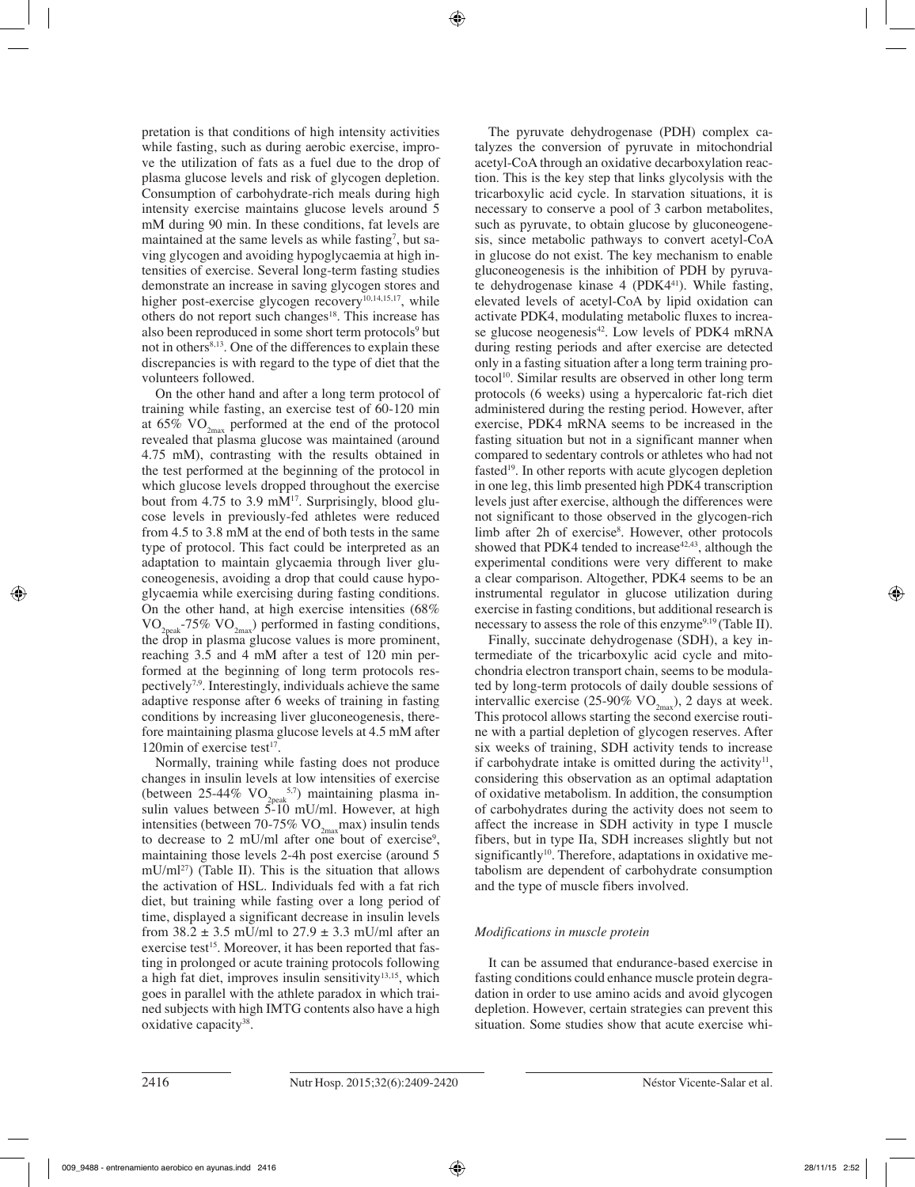pretation is that conditions of high intensity activities while fasting, such as during aerobic exercise, improve the utilization of fats as a fuel due to the drop of plasma glucose levels and risk of glycogen depletion. Consumption of carbohydrate-rich meals during high intensity exercise maintains glucose levels around 5 mM during 90 min. In these conditions, fat levels are maintained at the same levels as while fasting<sup>7</sup>, but saving glycogen and avoiding hypoglycaemia at high intensities of exercise. Several long-term fasting studies demonstrate an increase in saving glycogen stores and higher post-exercise glycogen recovery<sup>10,14,15,17</sup>, while others do not report such changes<sup>18</sup>. This increase has also been reproduced in some short term protocols<sup>9</sup> but not in others<sup>8,13</sup>. One of the differences to explain these discrepancies is with regard to the type of diet that the volunteers followed.

On the other hand and after a long term protocol of training while fasting, an exercise test of 60-120 min at 65%  $VO_{2<sub>max</sub>}$  performed at the end of the protocol revealed that plasma glucose was maintained (around 4.75 mM), contrasting with the results obtained in the test performed at the beginning of the protocol in which glucose levels dropped throughout the exercise bout from 4.75 to 3.9 mM $^{17}$ . Surprisingly, blood glucose levels in previously-fed athletes were reduced from 4.5 to 3.8 mM at the end of both tests in the same type of protocol. This fact could be interpreted as an adaptation to maintain glycaemia through liver gluconeogenesis, avoiding a drop that could cause hypoglycaemia while exercising during fasting conditions. On the other hand, at high exercise intensities (68%  $\rm VO_{2peak}$ -75%  $\rm VO_{2max}$ ) performed in fasting conditions, the drop in plasma glucose values is more prominent, reaching 3.5 and 4 mM after a test of 120 min performed at the beginning of long term protocols respectively7,9. Interestingly, individuals achieve the same adaptive response after 6 weeks of training in fasting conditions by increasing liver gluconeogenesis, therefore maintaining plasma glucose levels at 4.5 mM after 120 $\text{min}$  of exercise test<sup>17</sup>.

Normally, training while fasting does not produce changes in insulin levels at low intensities of exercise (between 25-44%  $\rm{VO}_{2\rm{peak}}^{5.7}$ ) maintaining plasma insulin values between 5-10 mU/ml. However, at high intensities (between 70-75%  $VO_{2max}$ max) insulin tends to decrease to 2 mU/ml after one bout of exercise<sup>9</sup>, maintaining those levels 2-4h post exercise (around 5  $mU/ml^{27}$ ) (Table II). This is the situation that allows the activation of HSL. Individuals fed with a fat rich diet, but training while fasting over a long period of time, displayed a significant decrease in insulin levels from  $38.2 \pm 3.5$  mU/ml to  $27.9 \pm 3.3$  mU/ml after an exercise test<sup>15</sup>. Moreover, it has been reported that fasting in prolonged or acute training protocols following a high fat diet, improves insulin sensitivity<sup>13,15</sup>, which goes in parallel with the athlete paradox in which trained subjects with high IMTG contents also have a high oxidative capacity<sup>38</sup>.

The pyruvate dehydrogenase (PDH) complex catalyzes the conversion of pyruvate in mitochondrial acetyl-CoA through an oxidative decarboxylation reaction. This is the key step that links glycolysis with the tricarboxylic acid cycle. In starvation situations, it is necessary to conserve a pool of 3 carbon metabolites, such as pyruvate, to obtain glucose by gluconeogenesis, since metabolic pathways to convert acetyl-CoA in glucose do not exist. The key mechanism to enable gluconeogenesis is the inhibition of PDH by pyruvate dehydrogenase kinase 4 (PDK441). While fasting, elevated levels of acetyl-CoA by lipid oxidation can activate PDK4, modulating metabolic fluxes to increase glucose neogenesis $42$ . Low levels of PDK4 mRNA during resting periods and after exercise are detected only in a fasting situation after a long term training protocol<sup>10</sup>. Similar results are observed in other long term protocols (6 weeks) using a hypercaloric fat-rich diet administered during the resting period. However, after exercise, PDK4 mRNA seems to be increased in the fasting situation but not in a significant manner when compared to sedentary controls or athletes who had not fasted<sup>19</sup>. In other reports with acute glycogen depletion in one leg, this limb presented high PDK4 transcription levels just after exercise, although the differences were not significant to those observed in the glycogen-rich limb after 2h of exercise<sup>8</sup>. However, other protocols showed that PDK4 tended to increase  $42,43$ , although the experimental conditions were very different to make a clear comparison. Altogether, PDK4 seems to be an instrumental regulator in glucose utilization during exercise in fasting conditions, but additional research is necessary to assess the role of this enzyme<sup>9,19</sup> (Table II).

Finally, succinate dehydrogenase (SDH), a key intermediate of the tricarboxylic acid cycle and mitochondria electron transport chain, seems to be modulated by long-term protocols of daily double sessions of intervallic exercise (25-90%  $VO_{2m}$ ), 2 days at week. This protocol allows starting the second exercise routine with a partial depletion of glycogen reserves. After six weeks of training, SDH activity tends to increase if carbohydrate intake is omitted during the activity<sup>11</sup>, considering this observation as an optimal adaptation of oxidative metabolism. In addition, the consumption of carbohydrates during the activity does not seem to affect the increase in SDH activity in type I muscle fibers, but in type IIa, SDH increases slightly but not significantly<sup>10</sup>. Therefore, adaptations in oxidative metabolism are dependent of carbohydrate consumption and the type of muscle fibers involved.

# *Modifications in muscle protein*

It can be assumed that endurance-based exercise in fasting conditions could enhance muscle protein degradation in order to use amino acids and avoid glycogen depletion. However, certain strategies can prevent this situation. Some studies show that acute exercise whi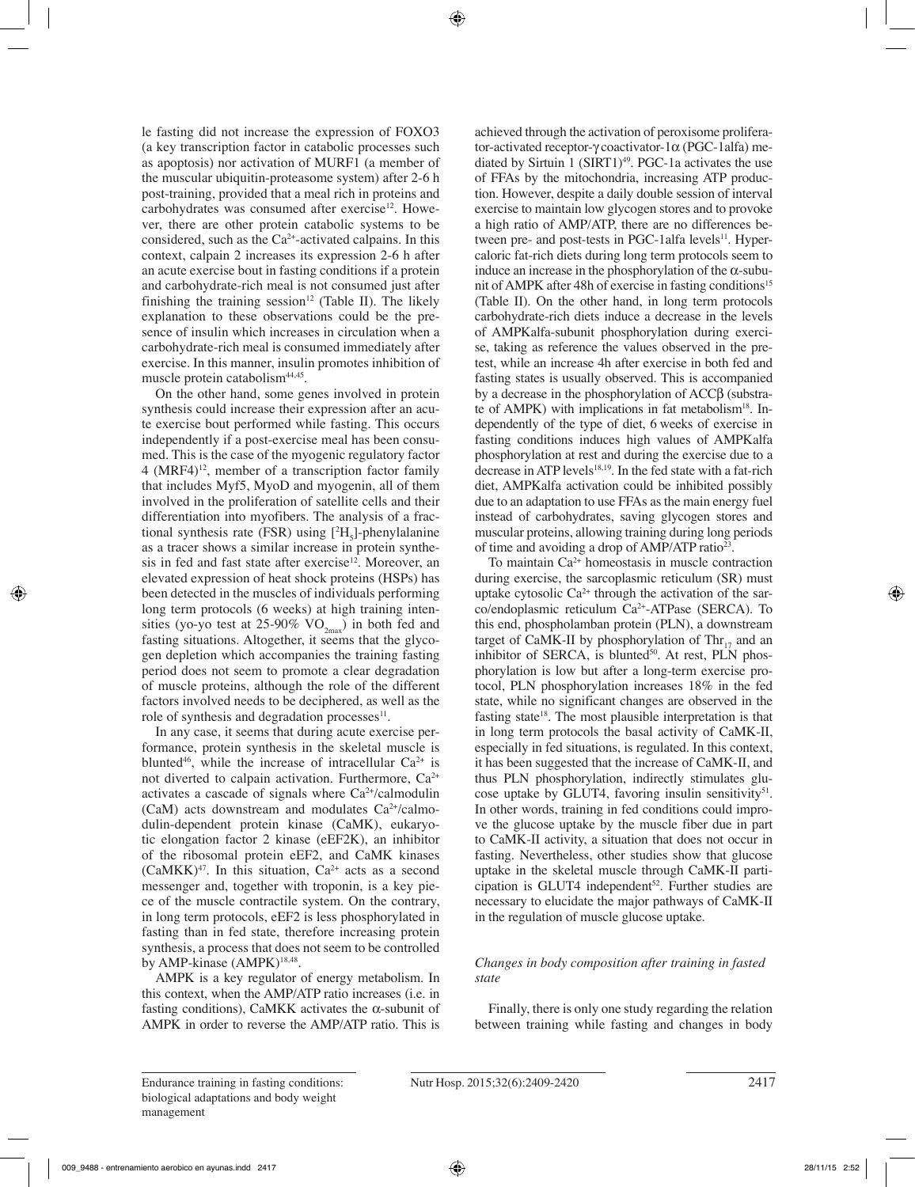le fasting did not increase the expression of FOXO3 (a key transcription factor in catabolic processes such as apoptosis) nor activation of MURF1 (a member of the muscular ubiquitin-proteasome system) after 2-6 h post-training, provided that a meal rich in proteins and carbohydrates was consumed after exercise<sup>12</sup>. However, there are other protein catabolic systems to be considered, such as the Ca2+-activated calpains. In this context, calpain 2 increases its expression 2-6 h after an acute exercise bout in fasting conditions if a protein and carbohydrate-rich meal is not consumed just after finishing the training session<sup>12</sup> (Table II). The likely explanation to these observations could be the presence of insulin which increases in circulation when a carbohydrate-rich meal is consumed immediately after exercise. In this manner, insulin promotes inhibition of muscle protein catabolism<sup>44,45</sup>.

On the other hand, some genes involved in protein synthesis could increase their expression after an acute exercise bout performed while fasting. This occurs independently if a post-exercise meal has been consumed. This is the case of the myogenic regulatory factor  $4$  (MRF4)<sup>12</sup>, member of a transcription factor family that includes Myf5, MyoD and myogenin, all of them involved in the proliferation of satellite cells and their differentiation into myofibers. The analysis of a fractional synthesis rate (FSR) using  $[{}^{2}H_{5}]$ -phenylalanine as a tracer shows a similar increase in protein synthesis in fed and fast state after exercise<sup>12</sup>. Moreover, an elevated expression of heat shock proteins (HSPs) has been detected in the muscles of individuals performing long term protocols (6 weeks) at high training intensities (yo-yo test at 25-90%  $VO_{2<sub>max</sub>$ ) in both fed and fasting situations. Altogether, it seems that the glycogen depletion which accompanies the training fasting period does not seem to promote a clear degradation of muscle proteins, although the role of the different factors involved needs to be deciphered, as well as the role of synthesis and degradation processes $11$ .

In any case, it seems that during acute exercise performance, protein synthesis in the skeletal muscle is blunted<sup>46</sup>, while the increase of intracellular  $Ca^{2+}$  is not diverted to calpain activation. Furthermore, Ca<sup>2+</sup> activates a cascade of signals where  $Ca^{2+}/cal$ calmodulin (CaM) acts downstream and modulates  $Ca^{2+}/cal$ dulin-dependent protein kinase (CaMK), eukaryotic elongation factor 2 kinase (eEF2K), an inhibitor of the ribosomal protein eEF2, and CaMK kinases  $(CaMKK)^{47}$ . In this situation,  $Ca^{2+}$  acts as a second messenger and, together with troponin, is a key piece of the muscle contractile system. On the contrary, in long term protocols, eEF2 is less phosphorylated in fasting than in fed state, therefore increasing protein synthesis, a process that does not seem to be controlled by AMP-kinase (AMPK)<sup>18,48</sup>.

AMPK is a key regulator of energy metabolism. In this context, when the AMP/ATP ratio increases (i.e. in fasting conditions), CaMKK activates the α-subunit of AMPK in order to reverse the AMP/ATP ratio. This is achieved through the activation of peroxisome proliferator-activated receptor-γ coactivator-1α (PGC-1alfa) mediated by Sirtuin 1 (SIRT1) $49$ . PGC-1a activates the use of FFAs by the mitochondria, increasing ATP production. However, despite a daily double session of interval exercise to maintain low glycogen stores and to provoke a high ratio of AMP/ATP, there are no differences between pre- and post-tests in PGC-1alfa levels<sup>11</sup>. Hypercaloric fat-rich diets during long term protocols seem to induce an increase in the phosphorylation of the  $\alpha$ -subunit of AMPK after 48h of exercise in fasting conditions<sup>15</sup> (Table II). On the other hand, in long term protocols carbohydrate-rich diets induce a decrease in the levels of AMPKalfa-subunit phosphorylation during exercise, taking as reference the values observed in the pretest, while an increase 4h after exercise in both fed and fasting states is usually observed. This is accompanied by a decrease in the phosphorylation of ACCβ (substrate of AMPK) with implications in fat metabolism $18$ . Independently of the type of diet, 6 weeks of exercise in fasting conditions induces high values of AMPKalfa phosphorylation at rest and during the exercise due to a decrease in ATP levels $18,19$ . In the fed state with a fat-rich diet, AMPKalfa activation could be inhibited possibly due to an adaptation to use FFAs as the main energy fuel instead of carbohydrates, saving glycogen stores and muscular proteins, allowing training during long periods of time and avoiding a drop of AMP/ATP ratio23.

To maintain  $Ca<sup>2+</sup>$  homeostasis in muscle contraction during exercise, the sarcoplasmic reticulum (SR) must uptake cytosolic  $Ca^{2+}$  through the activation of the sarco/endoplasmic reticulum Ca2+-ATPase (SERCA). To this end, phospholamban protein (PLN), a downstream target of CaMK-II by phosphorylation of Thr $_{17}$  and an inhibitor of SERCA, is blunted $50$ . At rest, PLN phosphorylation is low but after a long-term exercise protocol, PLN phosphorylation increases 18% in the fed state, while no significant changes are observed in the fasting state<sup>18</sup>. The most plausible interpretation is that in long term protocols the basal activity of CaMK-II, especially in fed situations, is regulated. In this context, it has been suggested that the increase of CaMK-II, and thus PLN phosphorylation, indirectly stimulates glucose uptake by GLUT4, favoring insulin sensitivity $51$ . In other words, training in fed conditions could improve the glucose uptake by the muscle fiber due in part to CaMK-II activity, a situation that does not occur in fasting. Nevertheless, other studies show that glucose uptake in the skeletal muscle through CaMK-II participation is GLUT4 independent<sup>52</sup>. Further studies are necessary to elucidate the major pathways of CaMK-II in the regulation of muscle glucose uptake.

# *Changes in body composition after training in fasted state*

Finally, there is only one study regarding the relation between training while fasting and changes in body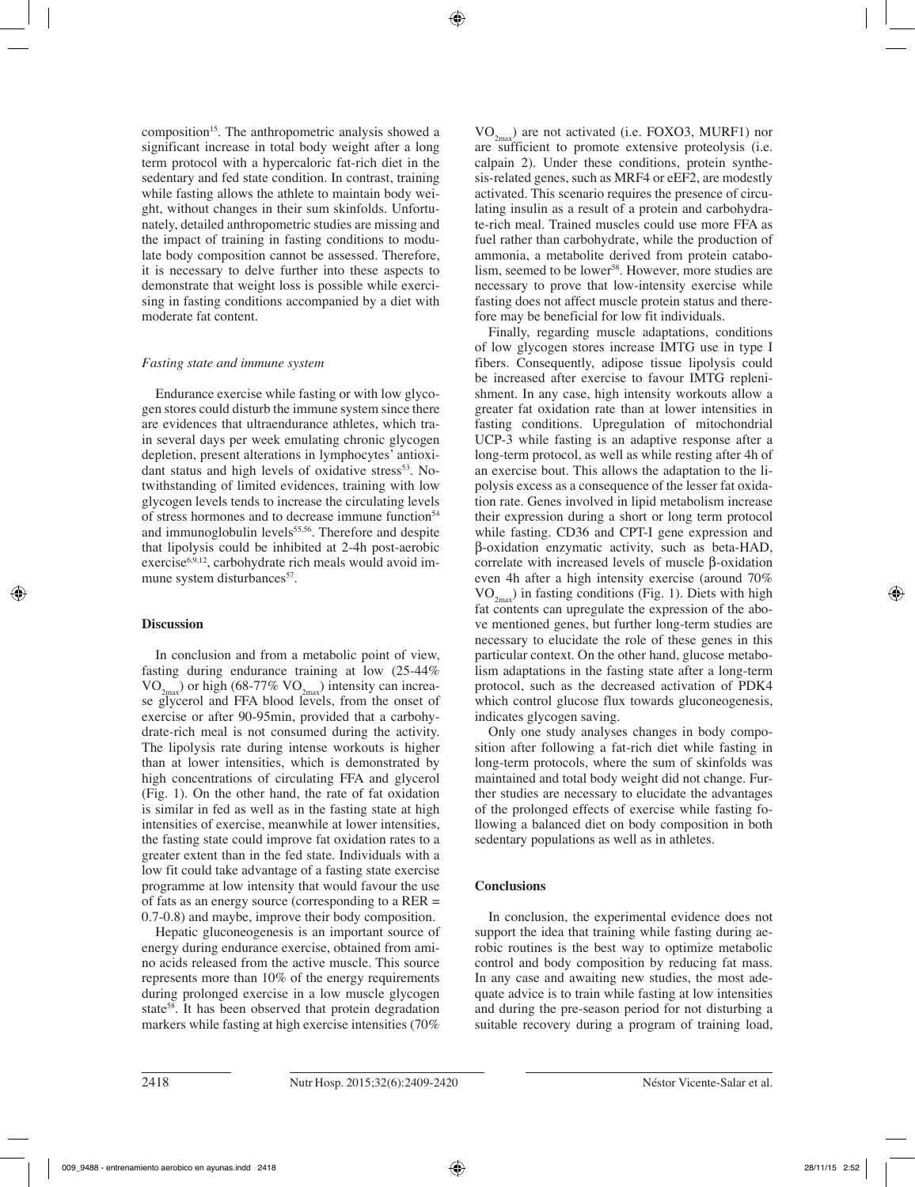composition<sup>15</sup>. The anthropometric analysis showed a significant increase in total body weight after a long term protocol with a hypercaloric fat-rich diet in the sedentary and fed state condition. In contrast, training while fasting allows the athlete to maintain body weight, without changes in their sum skinfolds. Unfortunately, detailed anthropometric studies are missing and the impact of training in fasting conditions to modulate body composition cannot be assessed. Therefore, it is necessary to delve further into these aspects to demonstrate that weight loss is possible while exercising in fasting conditions accompanied by a diet with moderate fat content.

# *Fasting state and immune system*

Endurance exercise while fasting or with low glycogen stores could disturb the immune system since there are evidences that ultraendurance athletes, which train several days per week emulating chronic glycogen depletion, present alterations in lymphocytes' antioxidant status and high levels of oxidative stress<sup>53</sup>. Notwithstanding of limited evidences, training with low glycogen levels tends to increase the circulating levels of stress hormones and to decrease immune function<sup>54</sup> and immunoglobulin levels<sup>55,56</sup>. Therefore and despite that lipolysis could be inhibited at 2-4h post-aerobic exercise<sup>6,9,12</sup>, carbohydrate rich meals would avoid immune system disturbances<sup>57</sup>.

# **Discussion**

In conclusion and from a metabolic point of view, fasting during endurance training at low (25-44%  $VO_{2<sub>max</sub>}$ ) or high (68-77%  $VO_{2<sub>max</sub>}$ ) intensity can increase glycerol and FFA blood levels, from the onset of exercise or after 90-95min, provided that a carbohydrate-rich meal is not consumed during the activity. The lipolysis rate during intense workouts is higher than at lower intensities, which is demonstrated by high concentrations of circulating FFA and glycerol (Fig. 1). On the other hand, the rate of fat oxidation is similar in fed as well as in the fasting state at high intensities of exercise, meanwhile at lower intensities, the fasting state could improve fat oxidation rates to a greater extent than in the fed state. Individuals with a low fit could take advantage of a fasting state exercise programme at low intensity that would favour the use of fats as an energy source (corresponding to a RER = 0.7-0.8) and maybe, improve their body composition.

Hepatic gluconeogenesis is an important source of energy during endurance exercise, obtained from amino acids released from the active muscle. This source represents more than 10% of the energy requirements during prolonged exercise in a low muscle glycogen state<sup>58</sup>. It has been observed that protein degradation markers while fasting at high exercise intensities (70%  $VO_{2<sub>max</sub>}$ ) are not activated (i.e. FOXO3, MURF1) nor are sufficient to promote extensive proteolysis (i.e. calpain 2). Under these conditions, protein synthesis-related genes, such as MRF4 or eEF2, are modestly activated. This scenario requires the presence of circulating insulin as a result of a protein and carbohydrate-rich meal. Trained muscles could use more FFA as fuel rather than carbohydrate, while the production of ammonia, a metabolite derived from protein catabolism, seemed to be lower<sup>58</sup>. However, more studies are necessary to prove that low-intensity exercise while fasting does not affect muscle protein status and therefore may be beneficial for low fit individuals.

Finally, regarding muscle adaptations, conditions of low glycogen stores increase IMTG use in type I fibers. Consequently, adipose tissue lipolysis could be increased after exercise to favour IMTG replenishment. In any case, high intensity workouts allow a greater fat oxidation rate than at lower intensities in fasting conditions. Upregulation of mitochondrial UCP-3 while fasting is an adaptive response after a long-term protocol, as well as while resting after 4h of an exercise bout. This allows the adaptation to the lipolysis excess as a consequence of the lesser fat oxidation rate. Genes involved in lipid metabolism increase their expression during a short or long term protocol while fasting. CD36 and CPT-I gene expression and β-oxidation enzymatic activity, such as beta-HAD, correlate with increased levels of muscle β-oxidation even 4h after a high intensity exercise (around 70%  $VO_{2m}$ ) in fasting conditions (Fig. 1). Diets with high fat contents can upregulate the expression of the above mentioned genes, but further long-term studies are necessary to elucidate the role of these genes in this particular context. On the other hand, glucose metabolism adaptations in the fasting state after a long-term protocol, such as the decreased activation of PDK4 which control glucose flux towards gluconeogenesis, indicates glycogen saving.

Only one study analyses changes in body composition after following a fat-rich diet while fasting in long-term protocols, where the sum of skinfolds was maintained and total body weight did not change. Further studies are necessary to elucidate the advantages of the prolonged effects of exercise while fasting following a balanced diet on body composition in both sedentary populations as well as in athletes.

# **Conclusions**

In conclusion, the experimental evidence does not support the idea that training while fasting during aerobic routines is the best way to optimize metabolic control and body composition by reducing fat mass. In any case and awaiting new studies, the most adequate advice is to train while fasting at low intensities and during the pre-season period for not disturbing a suitable recovery during a program of training load,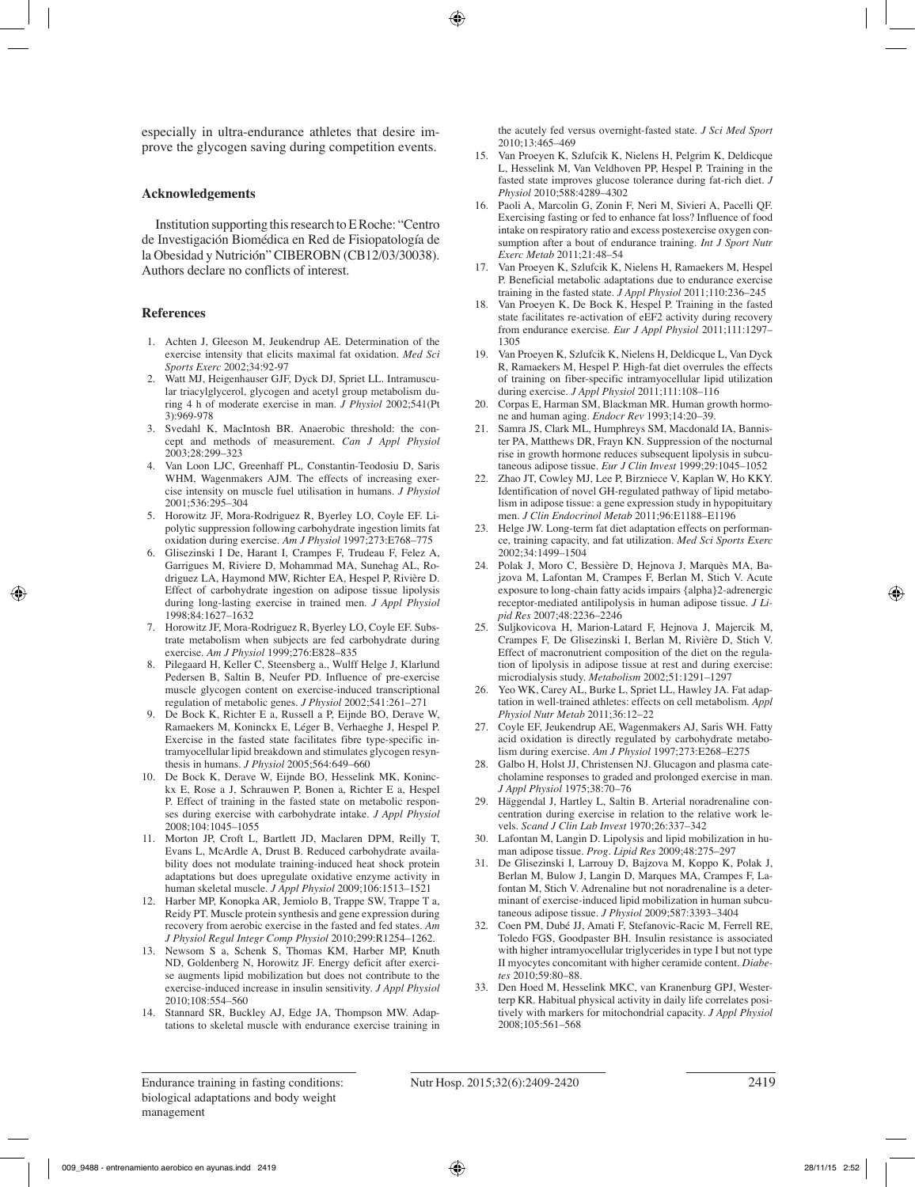especially in ultra-endurance athletes that desire improve the glycogen saving during competition events.

## **Acknowledgements**

Institution supporting this research to E Roche: "Centro de Investigación Biomédica en Red de Fisiopatología de la Obesidad y Nutrición" CIBEROBN (CB12/03/30038). Authors declare no conflicts of interest.

## **References**

- 1. Achten J, Gleeson M, Jeukendrup AE. Determination of the exercise intensity that elicits maximal fat oxidation. *Med Sci Sports Exerc* 2002;34:92-97
- 2. Watt MJ, Heigenhauser GJF, Dyck DJ, Spriet LL. Intramuscular triacylglycerol, glycogen and acetyl group metabolism during 4 h of moderate exercise in man. *J Physiol* 2002;541(Pt 3):969-978
- 3. Svedahl K, MacIntosh BR. Anaerobic threshold: the concept and methods of measurement. *Can J Appl Physiol* 2003;28:299–323
- 4. Van Loon LJC, Greenhaff PL, Constantin-Teodosiu D, Saris WHM, Wagenmakers AJM. The effects of increasing exercise intensity on muscle fuel utilisation in humans. *J Physiol*  2001;536:295–304
- 5. Horowitz JF, Mora-Rodriguez R, Byerley LO, Coyle EF. Lipolytic suppression following carbohydrate ingestion limits fat oxidation during exercise. *Am J Physiol* 1997;273:E768–775
- 6. Glisezinski I De, Harant I, Crampes F, Trudeau F, Felez A, Garrigues M, Riviere D, Mohammad MA, Sunehag AL, Rodriguez LA, Haymond MW, Richter EA, Hespel P, Rivière D. Effect of carbohydrate ingestion on adipose tissue lipolysis during long-lasting exercise in trained men. *J Appl Physiol* 1998;84:1627–1632
- 7. Horowitz JF, Mora-Rodriguez R, Byerley LO, Coyle EF. Substrate metabolism when subjects are fed carbohydrate during exercise. *Am J Physiol* 1999;276:E828–835
- 8. Pilegaard H, Keller C, Steensberg a., Wulff Helge J, Klarlund Pedersen B, Saltin B, Neufer PD. Influence of pre-exercise muscle glycogen content on exercise-induced transcriptional regulation of metabolic genes. *J Physiol* 2002;541:261–271
- 9. De Bock K, Richter E a, Russell a P, Eijnde BO, Derave W, Ramaekers M, Koninckx E, Léger B, Verhaeghe J, Hespel P. Exercise in the fasted state facilitates fibre type-specific intramyocellular lipid breakdown and stimulates glycogen resynthesis in humans. *J Physiol* 2005;564:649–660
- 10. De Bock K, Derave W, Eijnde BO, Hesselink MK, Koninckx E, Rose a J, Schrauwen P, Bonen a, Richter E a, Hespel P. Effect of training in the fasted state on metabolic responses during exercise with carbohydrate intake. *J Appl Physiol*  2008;104:1045–1055
- 11. Morton JP, Croft L, Bartlett JD, Maclaren DPM, Reilly T, Evans L, McArdle A, Drust B. Reduced carbohydrate availability does not modulate training-induced heat shock protein adaptations but does upregulate oxidative enzyme activity in human skeletal muscle. *J Appl Physiol* 2009;106:1513–1521
- 12. Harber MP, Konopka AR, Jemiolo B, Trappe SW, Trappe T a, Reidy PT. Muscle protein synthesis and gene expression during recovery from aerobic exercise in the fasted and fed states. *Am J Physiol Regul Integr Comp Physiol* 2010;299:R1254–1262.
- 13. Newsom S a, Schenk S, Thomas KM, Harber MP, Knuth ND, Goldenberg N, Horowitz JF. Energy deficit after exercise augments lipid mobilization but does not contribute to the exercise-induced increase in insulin sensitivity. *J Appl Physiol*  2010;108:554–560
- 14. Stannard SR, Buckley AJ, Edge JA, Thompson MW. Adaptations to skeletal muscle with endurance exercise training in

the acutely fed versus overnight-fasted state. *J Sci Med Sport*  2010;13:465–469

- 15. Van Proeyen K, Szlufcik K, Nielens H, Pelgrim K, Deldicque L, Hesselink M, Van Veldhoven PP, Hespel P. Training in the fasted state improves glucose tolerance during fat-rich diet. *J Physiol* 2010;588:4289–4302
- 16. Paoli A, Marcolin G, Zonin F, Neri M, Sivieri A, Pacelli QF. Exercising fasting or fed to enhance fat loss? Influence of food intake on respiratory ratio and excess postexercise oxygen consumption after a bout of endurance training. *Int J Sport Nutr Exerc Metab* 2011;21:48–54
- 17. Van Proeyen K, Szlufcik K, Nielens H, Ramaekers M, Hespel P. Beneficial metabolic adaptations due to endurance exercise training in the fasted state. *J Appl Physiol* 2011;110:236–245
- Van Proeyen K, De Bock K, Hespel P. Training in the fasted state facilitates re-activation of eEF2 activity during recovery from endurance exercise. *Eur J Appl Physiol* 2011;111:1297– 1305
- 19. Van Proeyen K, Szlufcik K, Nielens H, Deldicque L, Van Dyck R, Ramaekers M, Hespel P. High-fat diet overrules the effects of training on fiber-specific intramyocellular lipid utilization during exercise. *J Appl Physiol* 2011;111:108–116
- 20. Corpas E, Harman SM, Blackman MR. Human growth hormone and human aging. *Endocr Rev* 1993;14:20–39.
- 21. Samra JS, Clark ML, Humphreys SM, Macdonald IA, Bannister PA, Matthews DR, Frayn KN. Suppression of the nocturnal rise in growth hormone reduces subsequent lipolysis in subcutaneous adipose tissue. *Eur J Clin Invest* 1999;29:1045–1052
- 22. Zhao JT, Cowley MJ, Lee P, Birzniece V, Kaplan W, Ho KKY. Identification of novel GH-regulated pathway of lipid metabolism in adipose tissue: a gene expression study in hypopituitary men. *J Clin Endocrinol Metab* 2011;96:E1188–E1196
- 23. Helge JW. Long-term fat diet adaptation effects on performance, training capacity, and fat utilization. *Med Sci Sports Exerc* 2002;34:1499–1504
- 24. Polak J, Moro C, Bessière D, Hejnova J, Marquès MA, Bajzova M, Lafontan M, Crampes F, Berlan M, Stich V. Acute exposure to long-chain fatty acids impairs {alpha}2-adrenergic receptor-mediated antilipolysis in human adipose tissue. *J Lipid Res* 2007;48:2236–2246
- 25. Suljkovicova H, Marion-Latard F, Hejnova J, Majercik M, Crampes F, De Glisezinski I, Berlan M, Rivière D, Stich V. Effect of macronutrient composition of the diet on the regulation of lipolysis in adipose tissue at rest and during exercise: microdialysis study. *Metabolism* 2002;51:1291–1297
- 26. Yeo WK, Carey AL, Burke L, Spriet LL, Hawley JA. Fat adaptation in well-trained athletes: effects on cell metabolism. *Appl Physiol Nutr Metab* 2011;36:12–22
- 27. Coyle EF, Jeukendrup AE, Wagenmakers AJ, Saris WH. Fatty acid oxidation is directly regulated by carbohydrate metabolism during exercise. *Am J Physiol* 1997;273:E268–E275
- 28. Galbo H, Holst JJ, Christensen NJ. Glucagon and plasma catecholamine responses to graded and prolonged exercise in man. *J Appl Physiol* 1975;38:70–76
- 29. Häggendal J, Hartley L, Saltin B. Arterial noradrenaline concentration during exercise in relation to the relative work levels. *Scand J Clin Lab Invest* 1970;26:337–342
- 30. Lafontan M, Langin D. Lipolysis and lipid mobilization in human adipose tissue. *Prog. Lipid Res* 2009;48:275–297
- 31. De Glisezinski I, Larrouy D, Bajzova M, Koppo K, Polak J, Berlan M, Bulow J, Langin D, Marques MA, Crampes F, Lafontan M, Stich V. Adrenaline but not noradrenaline is a determinant of exercise-induced lipid mobilization in human subcutaneous adipose tissue. *J Physiol* 2009;587:3393–3404
- 32. Coen PM, Dubé JJ, Amati F, Stefanovic-Racic M, Ferrell RE, Toledo FGS, Goodpaster BH. Insulin resistance is associated with higher intramyocellular triglycerides in type I but not type II myocytes concomitant with higher ceramide content. *Diabetes* 2010;59:80–88.
- 33. Den Hoed M, Hesselink MKC, van Kranenburg GPJ, Westerterp KR. Habitual physical activity in daily life correlates positively with markers for mitochondrial capacity. *J Appl Physiol* 2008;105:561–568